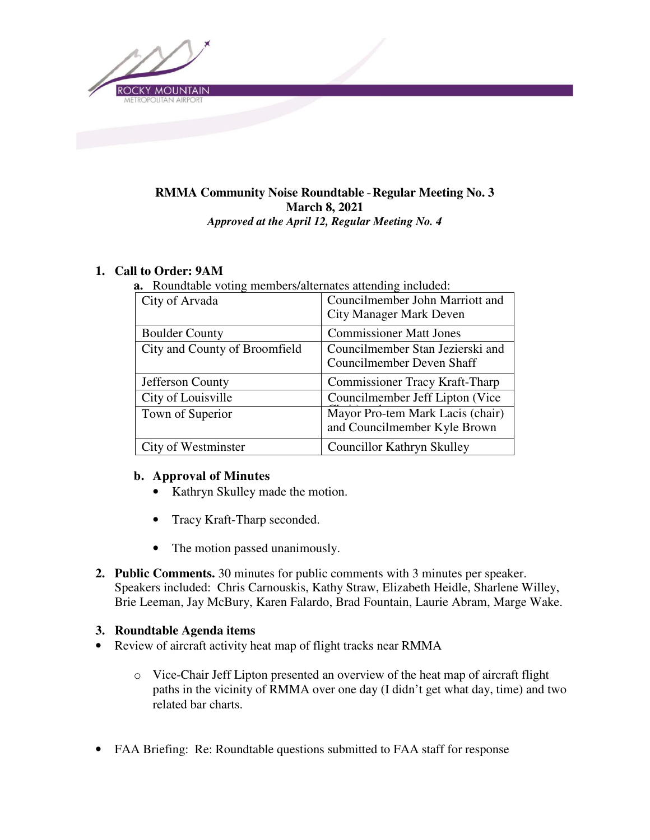

### **RMMA Community Noise Roundtable** – **Regular Meeting No. 3 March 8, 2021**  *Approved at the April 12, Regular Meeting No. 4*

## **1. Call to Order: 9AM**

**a.** Roundtable voting members/alternates attending included:

| City of Arvada                | Councilmember John Marriott and       |
|-------------------------------|---------------------------------------|
|                               | <b>City Manager Mark Deven</b>        |
| <b>Boulder County</b>         | <b>Commissioner Matt Jones</b>        |
| City and County of Broomfield | Councilmember Stan Jezierski and      |
|                               | Councilmember Deven Shaff             |
| Jefferson County              | <b>Commissioner Tracy Kraft-Tharp</b> |
| City of Louisville            | Councilmember Jeff Lipton (Vice)      |
| Town of Superior              | Mayor Pro-tem Mark Lacis (chair)      |
|                               | and Councilmember Kyle Brown          |
| City of Westminster           | <b>Councillor Kathryn Skulley</b>     |

#### **b. Approval of Minutes**

- Kathryn Skulley made the motion.
- Tracy Kraft-Tharp seconded.
- The motion passed unanimously.
- **2. Public Comments.** 30 minutes for public comments with 3 minutes per speaker. Speakers included: Chris Carnouskis, Kathy Straw, Elizabeth Heidle, Sharlene Willey, Brie Leeman, Jay McBury, Karen Falardo, Brad Fountain, Laurie Abram, Marge Wake.

#### **3. Roundtable Agenda items**

- Review of aircraft activity heat map of flight tracks near RMMA
	- o Vice-Chair Jeff Lipton presented an overview of the heat map of aircraft flight paths in the vicinity of RMMA over one day (I didn't get what day, time) and two related bar charts.
- FAA Briefing: Re: Roundtable questions submitted to FAA staff for response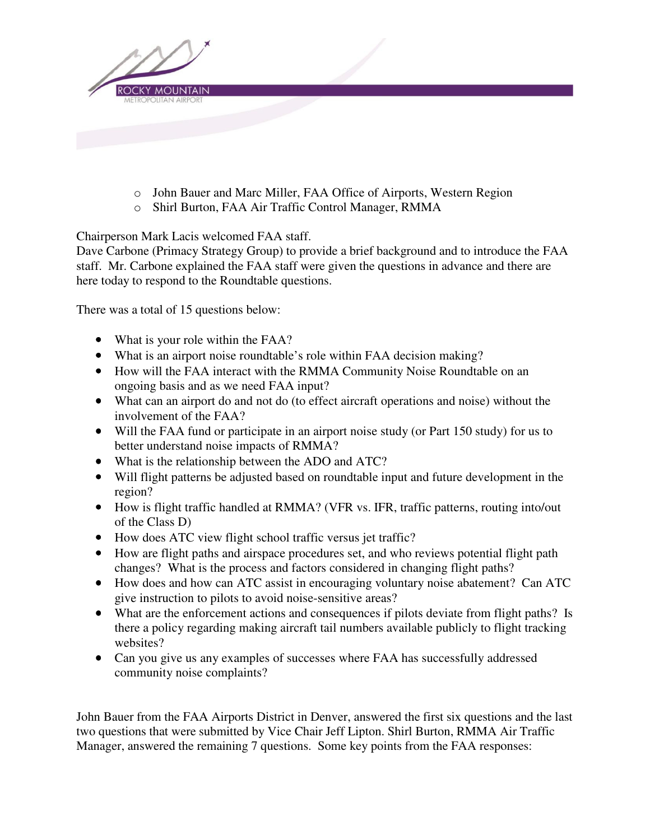

- o John Bauer and Marc Miller, FAA Office of Airports, Western Region
- o Shirl Burton, FAA Air Traffic Control Manager, RMMA

Chairperson Mark Lacis welcomed FAA staff.

Dave Carbone (Primacy Strategy Group) to provide a brief background and to introduce the FAA staff. Mr. Carbone explained the FAA staff were given the questions in advance and there are here today to respond to the Roundtable questions.

There was a total of 15 questions below:

- What is your role within the FAA?
- What is an airport noise roundtable's role within FAA decision making?
- How will the FAA interact with the RMMA Community Noise Roundtable on an ongoing basis and as we need FAA input?
- What can an airport do and not do (to effect aircraft operations and noise) without the involvement of the FAA?
- Will the FAA fund or participate in an airport noise study (or Part 150 study) for us to better understand noise impacts of RMMA?
- What is the relationship between the ADO and ATC?
- Will flight patterns be adjusted based on roundtable input and future development in the region?
- How is flight traffic handled at RMMA? (VFR vs. IFR, traffic patterns, routing into/out of the Class D)
- How does ATC view flight school traffic versus jet traffic?
- How are flight paths and airspace procedures set, and who reviews potential flight path changes? What is the process and factors considered in changing flight paths?
- How does and how can ATC assist in encouraging voluntary noise abatement? Can ATC give instruction to pilots to avoid noise-sensitive areas?
- What are the enforcement actions and consequences if pilots deviate from flight paths? Is there a policy regarding making aircraft tail numbers available publicly to flight tracking websites?
- Can you give us any examples of successes where FAA has successfully addressed community noise complaints?

John Bauer from the FAA Airports District in Denver, answered the first six questions and the last two questions that were submitted by Vice Chair Jeff Lipton. Shirl Burton, RMMA Air Traffic Manager, answered the remaining 7 questions. Some key points from the FAA responses: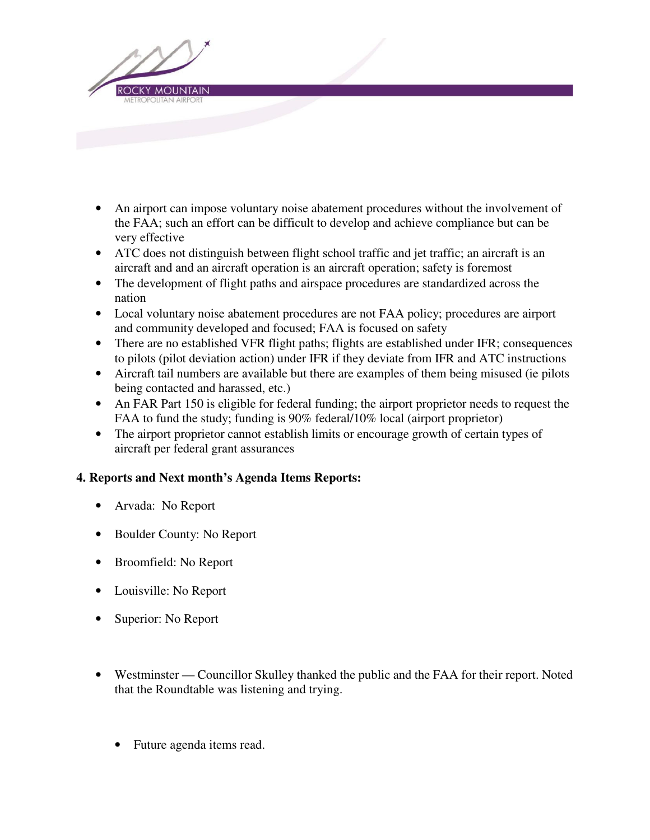

- An airport can impose voluntary noise abatement procedures without the involvement of the FAA; such an effort can be difficult to develop and achieve compliance but can be very effective
- ATC does not distinguish between flight school traffic and jet traffic; an aircraft is an aircraft and and an aircraft operation is an aircraft operation; safety is foremost
- The development of flight paths and airspace procedures are standardized across the nation
- Local voluntary noise abatement procedures are not FAA policy; procedures are airport and community developed and focused; FAA is focused on safety
- There are no established VFR flight paths; flights are established under IFR; consequences to pilots (pilot deviation action) under IFR if they deviate from IFR and ATC instructions
- Aircraft tail numbers are available but there are examples of them being misused (ie pilots being contacted and harassed, etc.)
- An FAR Part 150 is eligible for federal funding; the airport proprietor needs to request the FAA to fund the study; funding is 90% federal/10% local (airport proprietor)
- The airport proprietor cannot establish limits or encourage growth of certain types of aircraft per federal grant assurances

# **4. Reports and Next month's Agenda Items Reports:**

- Arvada: No Report
- Boulder County: No Report
- Broomfield: No Report
- Louisville: No Report
- Superior: No Report
- Westminster Councillor Skulley thanked the public and the FAA for their report. Noted that the Roundtable was listening and trying.
	- Future agenda items read.